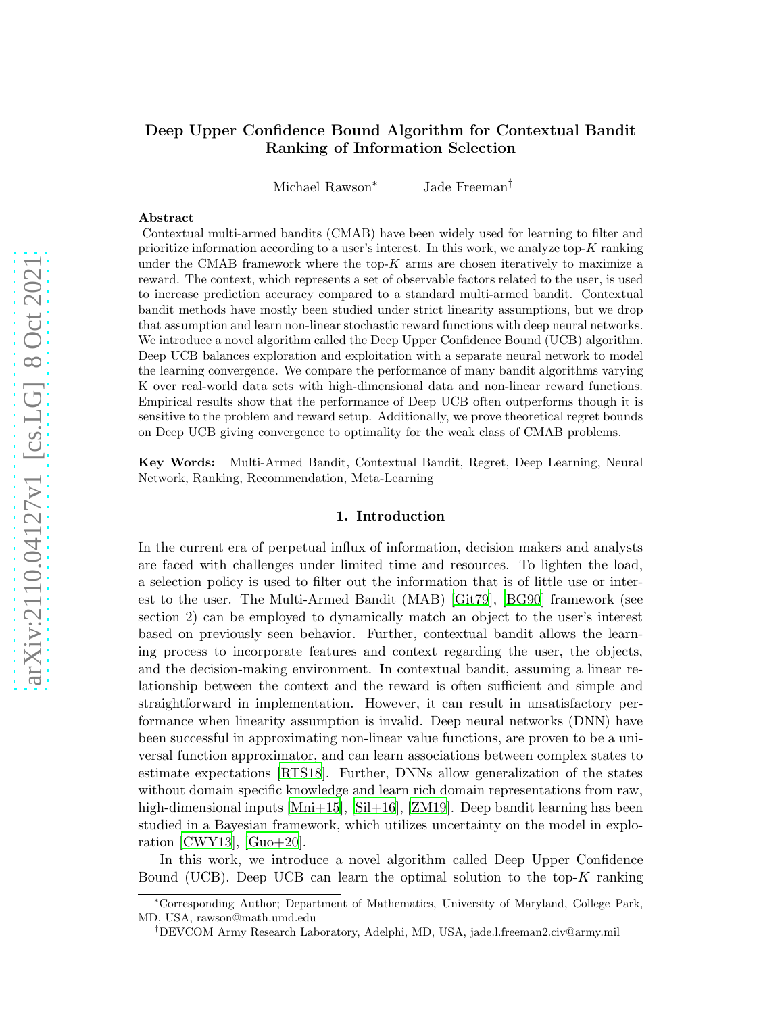# Deep Upper Confidence Bound Algorithm for Contextual Bandit Ranking of Information Selection

Michael Rawson<sup>∗</sup> Jade Freeman†

### Abstract

Contextual multi-armed bandits (CMAB) have been widely used for learning to filter and prioritize information according to a user's interest. In this work, we analyze top- $K$  ranking under the CMAB framework where the top- $K$  arms are chosen iteratively to maximize a reward. The context, which represents a set of observable factors related to the user, is used to increase prediction accuracy compared to a standard multi-armed bandit. Contextual bandit methods have mostly been studied under strict linearity assumptions, but we drop that assumption and learn non-linear stochastic reward functions with deep neural networks. We introduce a novel algorithm called the Deep Upper Confidence Bound (UCB) algorithm. Deep UCB balances exploration and exploitation with a separate neural network to model the learning convergence. We compare the performance of many bandit algorithms varying K over real-world data sets with high-dimensional data and non-linear reward functions. Empirical results show that the performance of Deep UCB often outperforms though it is sensitive to the problem and reward setup. Additionally, we prove theoretical regret bounds on Deep UCB giving convergence to optimality for the weak class of CMAB problems.

Key Words: Multi-Armed Bandit, Contextual Bandit, Regret, Deep Learning, Neural Network, Ranking, Recommendation, Meta-Learning

#### 1. Introduction

In the current era of perpetual influx of information, decision makers and analysts are faced with challenges under limited time and resources. To lighten the load, a selection policy is used to filter out the information that is of little use or interest to the user. The Multi-Armed Bandit (MAB) [\[Git79](#page-7-0)], [\[BG90\]](#page-7-1) framework (see section 2) can be employed to dynamically match an object to the user's interest based on previously seen behavior. Further, contextual bandit allows the learning process to incorporate features and context regarding the user, the objects, and the decision-making environment. In contextual bandit, assuming a linear relationship between the context and the reward is often sufficient and simple and straightforward in implementation. However, it can result in unsatisfactory performance when linearity assumption is invalid. Deep neural networks (DNN) have been successful in approximating non-linear value functions, are proven to be a universal function approximator, and can learn associations between complex states to estimate expectations [\[RTS18](#page-8-0)]. Further, DNNs allow generalization of the states without domain specific knowledge and learn rich domain representations from raw, high-dimensional inputs [\[Mni+15](#page-8-1)], [\[Sil+16](#page-8-2)], [\[ZM19\]](#page-8-3). Deep bandit learning has been studied in a Bayesian framework, which utilizes uncertainty on the model in explo-ration [\[CWY13](#page-8-4)],  $[Guo+20]$ .

In this work, we introduce a novel algorithm called Deep Upper Confidence Bound (UCB). Deep UCB can learn the optimal solution to the top- $K$  ranking

<sup>∗</sup>Corresponding Author; Department of Mathematics, University of Maryland, College Park, MD, USA, rawson@math.umd.edu

<sup>†</sup>DEVCOM Army Research Laboratory, Adelphi, MD, USA, jade.l.freeman2.civ@army.mil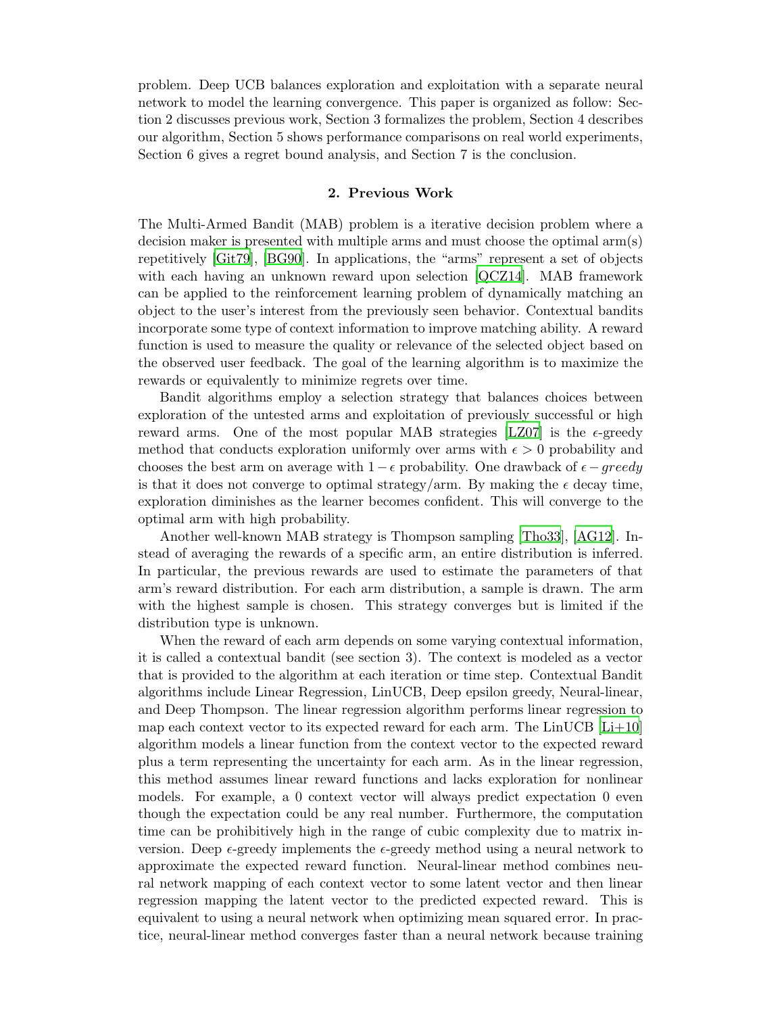problem. Deep UCB balances exploration and exploitation with a separate neural network to model the learning convergence. This paper is organized as follow: Section 2 discusses previous work, Section 3 formalizes the problem, Section 4 describes our algorithm, Section 5 shows performance comparisons on real world experiments, Section 6 gives a regret bound analysis, and Section 7 is the conclusion.

# 2. Previous Work

The Multi-Armed Bandit (MAB) problem is a iterative decision problem where a decision maker is presented with multiple arms and must choose the optimal arm(s) repetitively [\[Git79](#page-7-0)], [\[BG90](#page-7-1)]. In applications, the "arms" represent a set of objects with each having an unknown reward upon selection [\[QCZ14\]](#page-8-6). MAB framework can be applied to the reinforcement learning problem of dynamically matching an object to the user's interest from the previously seen behavior. Contextual bandits incorporate some type of context information to improve matching ability. A reward function is used to measure the quality or relevance of the selected object based on the observed user feedback. The goal of the learning algorithm is to maximize the rewards or equivalently to minimize regrets over time.

Bandit algorithms employ a selection strategy that balances choices between exploration of the untested arms and exploitation of previously successful or high reward arms. One of the most popular MAB strategies [\[LZ07](#page-7-2)] is the  $\epsilon$ -greedy method that conducts exploration uniformly over arms with  $\epsilon > 0$  probability and chooses the best arm on average with  $1-\epsilon$  probability. One drawback of  $\epsilon-greedy$ is that it does not converge to optimal strategy/arm. By making the  $\epsilon$  decay time, exploration diminishes as the learner becomes confident. This will converge to the optimal arm with high probability.

Another well-known MAB strategy is Thompson sampling [\[Tho33](#page-7-3)], [\[AG12\]](#page-8-7). Instead of averaging the rewards of a specific arm, an entire distribution is inferred. In particular, the previous rewards are used to estimate the parameters of that arm's reward distribution. For each arm distribution, a sample is drawn. The arm with the highest sample is chosen. This strategy converges but is limited if the distribution type is unknown.

When the reward of each arm depends on some varying contextual information, it is called a contextual bandit (see section 3). The context is modeled as a vector that is provided to the algorithm at each iteration or time step. Contextual Bandit algorithms include Linear Regression, LinUCB, Deep epsilon greedy, Neural-linear, and Deep Thompson. The linear regression algorithm performs linear regression to map each context vector to its expected reward for each arm. The  $LinUCB$  [ $Li+10$ ] algorithm models a linear function from the context vector to the expected reward plus a term representing the uncertainty for each arm. As in the linear regression, this method assumes linear reward functions and lacks exploration for nonlinear models. For example, a 0 context vector will always predict expectation 0 even though the expectation could be any real number. Furthermore, the computation time can be prohibitively high in the range of cubic complexity due to matrix inversion. Deep  $\epsilon$ -greedy implements the  $\epsilon$ -greedy method using a neural network to approximate the expected reward function. Neural-linear method combines neural network mapping of each context vector to some latent vector and then linear regression mapping the latent vector to the predicted expected reward. This is equivalent to using a neural network when optimizing mean squared error. In practice, neural-linear method converges faster than a neural network because training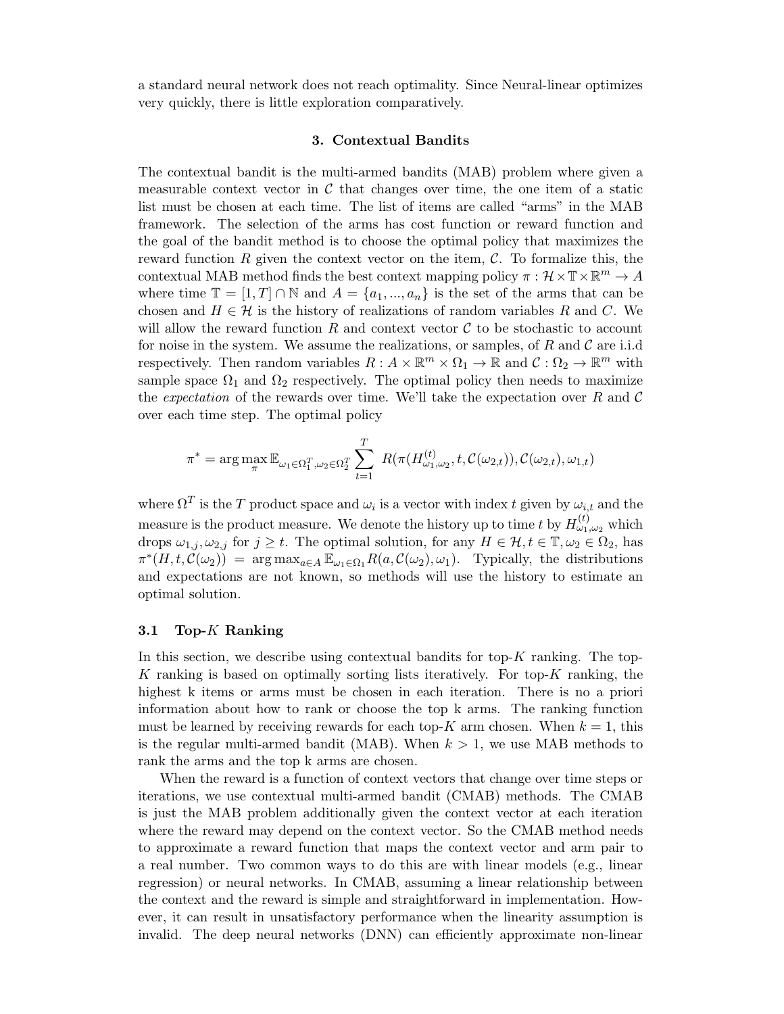a standard neural network does not reach optimality. Since Neural-linear optimizes very quickly, there is little exploration comparatively.

# 3. Contextual Bandits

The contextual bandit is the multi-armed bandits (MAB) problem where given a measurable context vector in  $\mathcal C$  that changes over time, the one item of a static list must be chosen at each time. The list of items are called "arms" in the MAB framework. The selection of the arms has cost function or reward function and the goal of the bandit method is to choose the optimal policy that maximizes the reward function R given the context vector on the item,  $\mathcal{C}$ . To formalize this, the contextual MAB method finds the best context mapping policy  $\pi : \mathcal{H} \times \mathbb{T} \times \mathbb{R}^m \to A$ where time  $\mathbb{T} = [1, T] \cap \mathbb{N}$  and  $A = \{a_1, ..., a_n\}$  is the set of the arms that can be chosen and  $H \in \mathcal{H}$  is the history of realizations of random variables R and C. We will allow the reward function R and context vector  $\mathcal C$  to be stochastic to account for noise in the system. We assume the realizations, or samples, of  $R$  and  $\mathcal C$  are i.i.d respectively. Then random variables  $R: A \times \mathbb{R}^m \times \Omega_1 \to \mathbb{R}$  and  $C: \Omega_2 \to \mathbb{R}^m$  with sample space  $\Omega_1$  and  $\Omega_2$  respectively. The optimal policy then needs to maximize the *expectation* of the rewards over time. We'll take the expectation over  $R$  and  $C$ over each time step. The optimal policy

$$
\pi^* = \arg\max_{\pi} \mathbb{E}_{\omega_1 \in \Omega_1^T, \omega_2 \in \Omega_2^T} \sum_{t=1}^T R(\pi(H_{\omega_1,\omega_2}^{(t)}, t, C(\omega_{2,t})), C(\omega_{2,t}), \omega_{1,t})
$$

where  $\Omega^T$  is the T product space and  $\omega_i$  is a vector with index t given by  $\omega_{i,t}$  and the measure is the product measure. We denote the history up to time  $t$  by  $H_{\omega_1,\omega_2}^{(t)}$  which drops  $\omega_{1,j}, \omega_{2,j}$  for  $j \geq t$ . The optimal solution, for any  $H \in \mathcal{H}, t \in \mathbb{T}, \omega_2 \in \Omega_2$ , has  $\pi^*(H, t, \mathcal{C}(\omega_2)) = \arg \max_{a \in A} \mathbb{E}_{\omega_1 \in \Omega_1} R(a, \mathcal{C}(\omega_2), \omega_1)$ . Typically, the distributions and expectations are not known, so methods will use the history to estimate an optimal solution.

### 3.1 Top- $K$  Ranking

In this section, we describe using contextual bandits for top- $K$  ranking. The top-K ranking is based on optimally sorting lists iteratively. For top- $K$  ranking, the highest k items or arms must be chosen in each iteration. There is no a priori information about how to rank or choose the top k arms. The ranking function must be learned by receiving rewards for each top-K arm chosen. When  $k = 1$ , this is the regular multi-armed bandit (MAB). When  $k > 1$ , we use MAB methods to rank the arms and the top k arms are chosen.

When the reward is a function of context vectors that change over time steps or iterations, we use contextual multi-armed bandit (CMAB) methods. The CMAB is just the MAB problem additionally given the context vector at each iteration where the reward may depend on the context vector. So the CMAB method needs to approximate a reward function that maps the context vector and arm pair to a real number. Two common ways to do this are with linear models (e.g., linear regression) or neural networks. In CMAB, assuming a linear relationship between the context and the reward is simple and straightforward in implementation. However, it can result in unsatisfactory performance when the linearity assumption is invalid. The deep neural networks (DNN) can efficiently approximate non-linear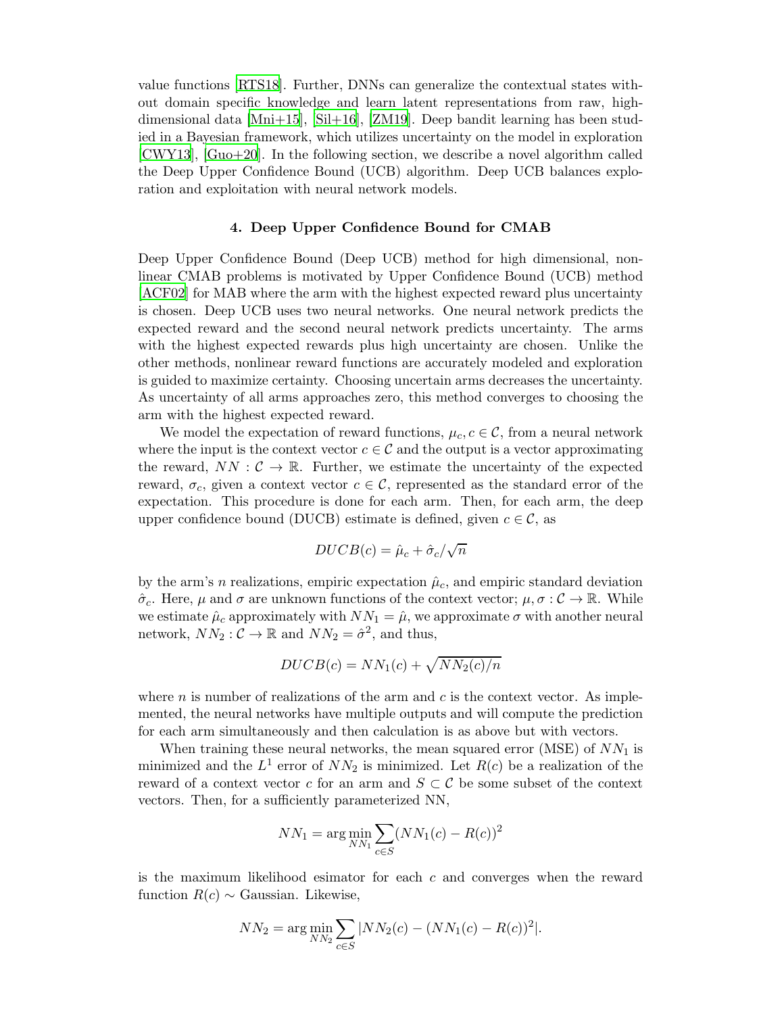value functions [\[RTS18](#page-8-0)]. Further, DNNs can generalize the contextual states without domain specific knowledge and learn latent representations from raw, highdimensional data [\[Mni+15](#page-8-1)], [\[Sil+16](#page-8-2)], [\[ZM19](#page-8-3)]. Deep bandit learning has been studied in a Bayesian framework, which utilizes uncertainty on the model in exploration [\[CWY13](#page-8-4)], [\[Guo+20](#page-8-5)]. In the following section, we describe a novel algorithm called the Deep Upper Confidence Bound (UCB) algorithm. Deep UCB balances exploration and exploitation with neural network models.

#### 4. Deep Upper Confidence Bound for CMAB

Deep Upper Confidence Bound (Deep UCB) method for high dimensional, nonlinear CMAB problems is motivated by Upper Confidence Bound (UCB) method [\[ACF02](#page-7-5)] for MAB where the arm with the highest expected reward plus uncertainty is chosen. Deep UCB uses two neural networks. One neural network predicts the expected reward and the second neural network predicts uncertainty. The arms with the highest expected rewards plus high uncertainty are chosen. Unlike the other methods, nonlinear reward functions are accurately modeled and exploration is guided to maximize certainty. Choosing uncertain arms decreases the uncertainty. As uncertainty of all arms approaches zero, this method converges to choosing the arm with the highest expected reward.

We model the expectation of reward functions,  $\mu_c$ ,  $c \in \mathcal{C}$ , from a neural network where the input is the context vector  $c \in \mathcal{C}$  and the output is a vector approximating the reward,  $NN: \mathcal{C} \to \mathbb{R}$ . Further, we estimate the uncertainty of the expected reward,  $\sigma_c$ , given a context vector  $c \in \mathcal{C}$ , represented as the standard error of the expectation. This procedure is done for each arm. Then, for each arm, the deep upper confidence bound (DUCB) estimate is defined, given  $c \in \mathcal{C}$ , as

$$
DUCB(c) = \hat{\mu}_c + \hat{\sigma}_c/\sqrt{n}
$$

by the arm's n realizations, empiric expectation  $\hat{\mu}_c$ , and empiric standard deviation  $\hat{\sigma}_c$ . Here,  $\mu$  and  $\sigma$  are unknown functions of the context vector;  $\mu, \sigma : C \to \mathbb{R}$ . While we estimate  $\hat{\mu}_c$  approximately with  $NN_1 = \hat{\mu}$ , we approximate  $\sigma$  with another neural network,  $NN_2: \mathcal{C} \to \mathbb{R}$  and  $NN_2 = \hat{\sigma}^2$ , and thus,

$$
DUCB(c) = NN_1(c) + \sqrt{NN_2(c)/n}
$$

where  $n$  is number of realizations of the arm and  $c$  is the context vector. As implemented, the neural networks have multiple outputs and will compute the prediction for each arm simultaneously and then calculation is as above but with vectors.

When training these neural networks, the mean squared error (MSE) of  $NN_1$  is minimized and the  $L^1$  error of  $NN_2$  is minimized. Let  $R(c)$  be a realization of the reward of a context vector c for an arm and  $S \subset \mathcal{C}$  be some subset of the context vectors. Then, for a sufficiently parameterized NN,

$$
NN_1 = \arg\min_{NN_1} \sum_{c \in S} (NN_1(c) - R(c))^2
$$

is the maximum likelihood esimator for each  $c$  and converges when the reward function  $R(c) \sim$  Gaussian. Likewise,

$$
NN_2 = \arg\min_{NN_2} \sum_{c \in S} |NN_2(c) - (NN_1(c) - R(c))^2|.
$$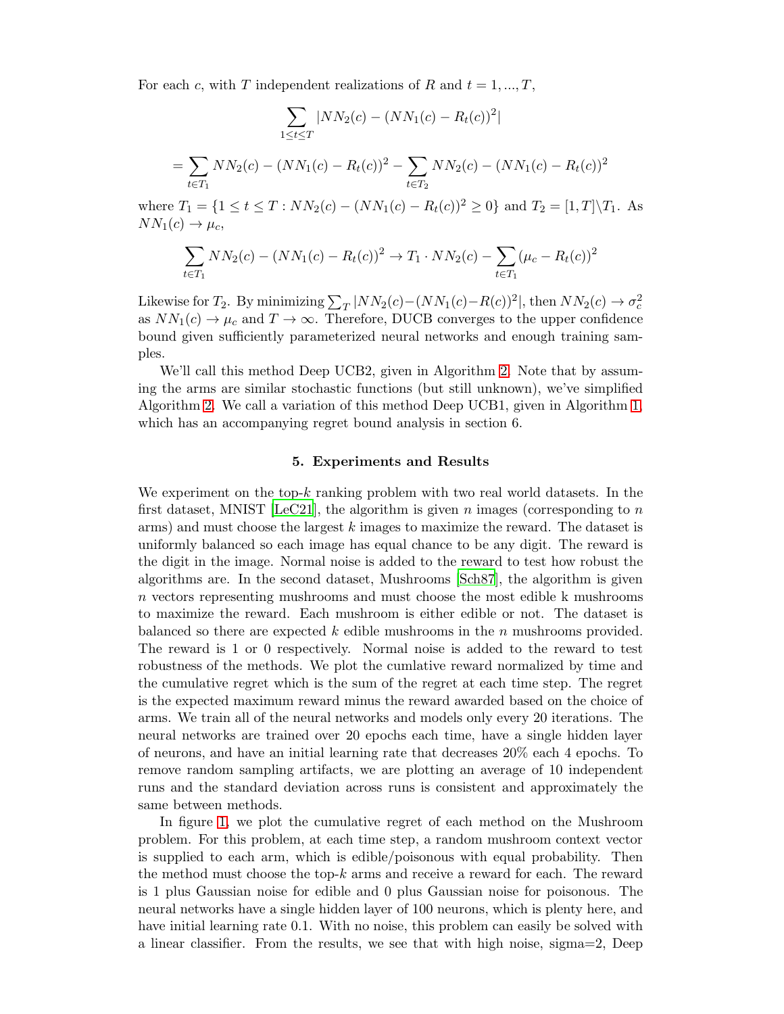For each c, with T independent realizations of R and  $t = 1, ..., T$ ,

=

$$
\sum_{1 \le t \le T} |NN_2(c) - (NN_1(c) - R_t(c))^2|
$$
  
= 
$$
\sum_{t \in T_1} NN_2(c) - (NN_1(c) - R_t(c))^2 - \sum_{t \in T_2} NN_2(c) - (NN_1(c) - R_t(c))^2
$$

where  $T_1 = \{1 \le t \le T : NN_2(c) - (NN_1(c) - R_t(c))^2 \ge 0\}$  and  $T_2 = [1, T]\setminus T_1$ . As  $NN_1(c) \rightarrow \mu_c$ 

$$
\sum_{t \in T_1} N N_2(c) - (N N_1(c) - R_t(c))^2 \to T_1 \cdot N N_2(c) - \sum_{t \in T_1} (\mu_c - R_t(c))^2
$$

Likewise for  $T_2$ . By minimizing  $\sum_{T} |NN_2(c) - (NN_1(c) - R(c))^2|$ , then  $NN_2(c) \rightarrow \sigma_c^2$ as  $NN_1(c) \to \mu_c$  and  $T \to \infty$ . Therefore, DUCB converges to the upper confidence bound given sufficiently parameterized neural networks and enough training samples.

We'll call this method Deep UCB2, given in Algorithm [2.](#page-12-0) Note that by assuming the arms are similar stochastic functions (but still unknown), we've simplified Algorithm [2.](#page-12-0) We call a variation of this method Deep UCB1, given in Algorithm [1,](#page-11-0) which has an accompanying regret bound analysis in section 6.

#### 5. Experiments and Results

We experiment on the top-k ranking problem with two real world datasets. In the first dataset, MNIST [\[LeC21\]](#page-8-8), the algorithm is given n images (corresponding to n arms) and must choose the largest  $k$  images to maximize the reward. The dataset is uniformly balanced so each image has equal chance to be any digit. The reward is the digit in the image. Normal noise is added to the reward to test how robust the algorithms are. In the second dataset, Mushrooms [\[Sch87\]](#page-7-6), the algorithm is given n vectors representing mushrooms and must choose the most edible k mushrooms to maximize the reward. Each mushroom is either edible or not. The dataset is balanced so there are expected k edible mushrooms in the  $n$  mushrooms provided. The reward is 1 or 0 respectively. Normal noise is added to the reward to test robustness of the methods. We plot the cumlative reward normalized by time and the cumulative regret which is the sum of the regret at each time step. The regret is the expected maximum reward minus the reward awarded based on the choice of arms. We train all of the neural networks and models only every 20 iterations. The neural networks are trained over 20 epochs each time, have a single hidden layer of neurons, and have an initial learning rate that decreases 20% each 4 epochs. To remove random sampling artifacts, we are plotting an average of 10 independent runs and the standard deviation across runs is consistent and approximately the same between methods.

In figure [1,](#page-5-0) we plot the cumulative regret of each method on the Mushroom problem. For this problem, at each time step, a random mushroom context vector is supplied to each arm, which is edible/poisonous with equal probability. Then the method must choose the top- $k$  arms and receive a reward for each. The reward is 1 plus Gaussian noise for edible and 0 plus Gaussian noise for poisonous. The neural networks have a single hidden layer of 100 neurons, which is plenty here, and have initial learning rate 0.1. With no noise, this problem can easily be solved with a linear classifier. From the results, we see that with high noise, sigma=2, Deep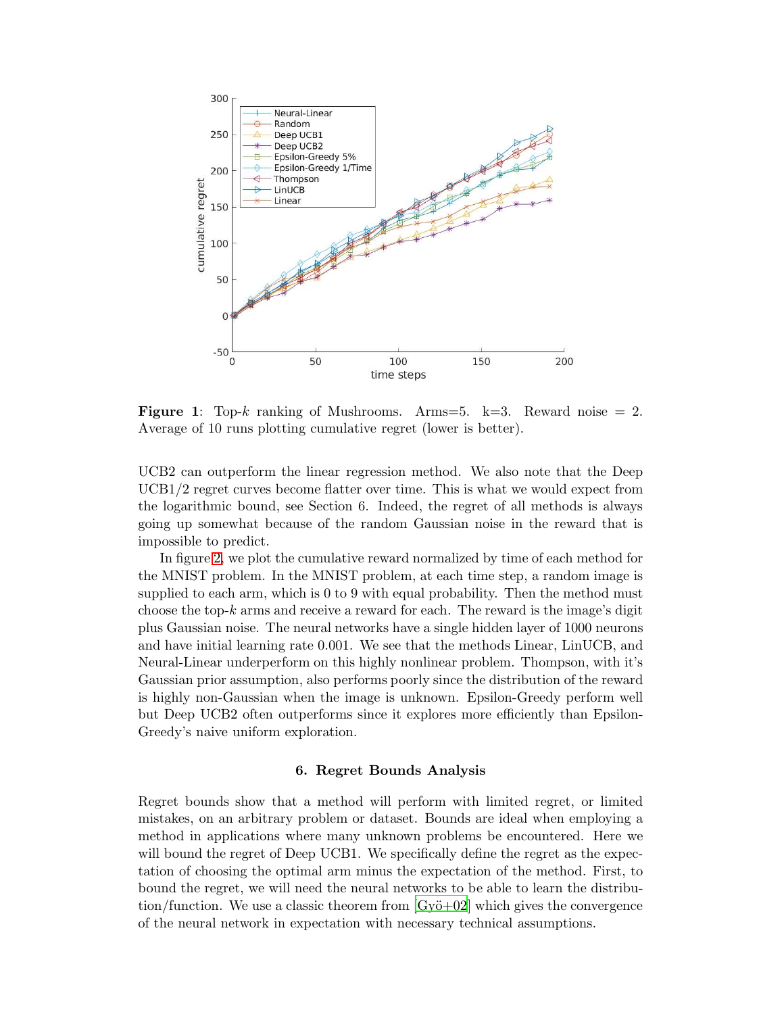

<span id="page-5-0"></span>**Figure 1:** Top-k ranking of Mushrooms. Arms=5. k=3. Reward noise  $= 2$ . Average of 10 runs plotting cumulative regret (lower is better).

UCB2 can outperform the linear regression method. We also note that the Deep UCB1/2 regret curves become flatter over time. This is what we would expect from the logarithmic bound, see Section 6. Indeed, the regret of all methods is always going up somewhat because of the random Gaussian noise in the reward that is impossible to predict.

In figure [2,](#page-6-0) we plot the cumulative reward normalized by time of each method for the MNIST problem. In the MNIST problem, at each time step, a random image is supplied to each arm, which is 0 to 9 with equal probability. Then the method must choose the top- $k$  arms and receive a reward for each. The reward is the image's digit plus Gaussian noise. The neural networks have a single hidden layer of 1000 neurons and have initial learning rate 0.001. We see that the methods Linear, LinUCB, and Neural-Linear underperform on this highly nonlinear problem. Thompson, with it's Gaussian prior assumption, also performs poorly since the distribution of the reward is highly non-Gaussian when the image is unknown. Epsilon-Greedy perform well but Deep UCB2 often outperforms since it explores more efficiently than Epsilon-Greedy's naive uniform exploration.

### 6. Regret Bounds Analysis

Regret bounds show that a method will perform with limited regret, or limited mistakes, on an arbitrary problem or dataset. Bounds are ideal when employing a method in applications where many unknown problems be encountered. Here we will bound the regret of Deep UCB1. We specifically define the regret as the expectation of choosing the optimal arm minus the expectation of the method. First, to bound the regret, we will need the neural networks to be able to learn the distribution/function. We use a classic theorem from  $\lbrack Gy\ddot{o}+02\rbrack$  which gives the convergence of the neural network in expectation with necessary technical assumptions.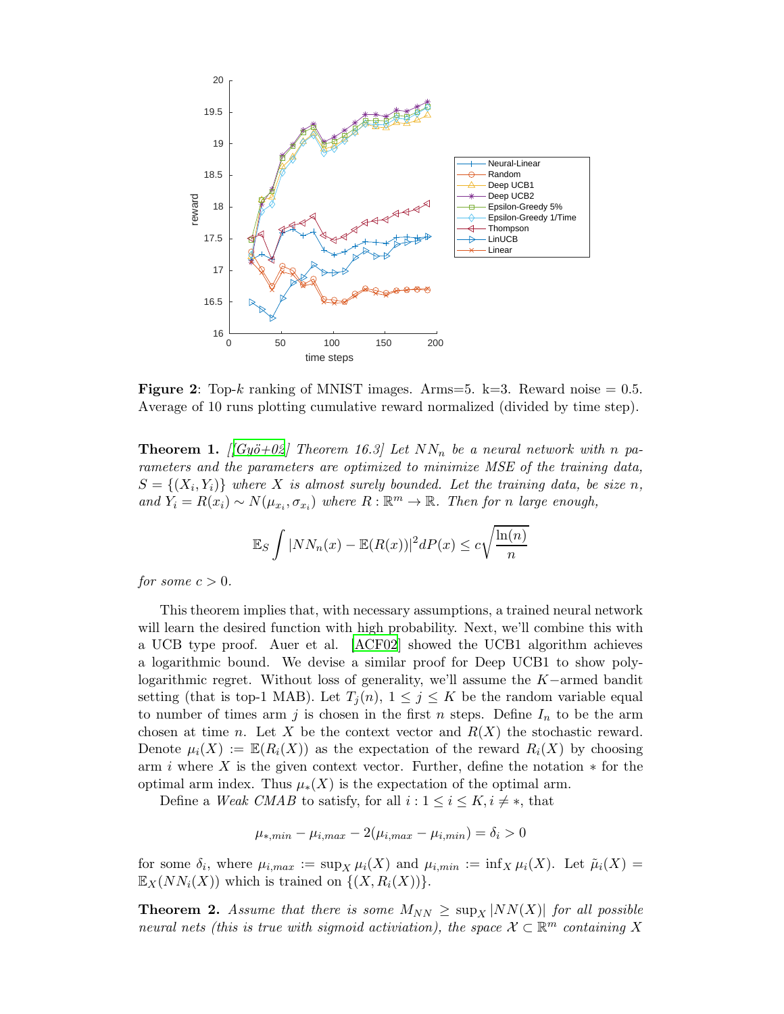

<span id="page-6-0"></span>**Figure 2:** Top-k ranking of MNIST images. Arms=5. k=3. Reward noise  $= 0.5$ . Average of 10 runs plotting cumulative reward normalized (divided by time step).

<span id="page-6-1"></span>**Theorem 1.**  $\left[\sqrt{Gy\ddot{\sigma}+02}\right]$  Theorem 16.3 Let  $NN_n$  be a neural network with n pa*rameters and the parameters are optimized to minimize MSE of the training data,*  $S = \{(X_i, Y_i)\}$  where X is almost surely bounded. Let the training data, be size n,  $and Y_i = R(x_i) \sim N(\mu_{x_i}, \sigma_{x_i})$  where  $R : \mathbb{R}^m \to \mathbb{R}$ . Then for n large enough,

$$
\mathbb{E}_S \int |NN_n(x) - \mathbb{E}(R(x))|^2 dP(x) \leq c \sqrt{\frac{\ln(n)}{n}}
$$

*for some*  $c > 0$ *.* 

This theorem implies that, with necessary assumptions, a trained neural network will learn the desired function with high probability. Next, we'll combine this with a UCB type proof. Auer et al. [\[ACF02\]](#page-7-5) showed the UCB1 algorithm achieves a logarithmic bound. We devise a similar proof for Deep UCB1 to show polylogarithmic regret. Without loss of generality, we'll assume the K−armed bandit setting (that is top-1 MAB). Let  $T_i(n)$ ,  $1 \leq j \leq K$  be the random variable equal to number of times arm j is chosen in the first n steps. Define  $I_n$  to be the arm chosen at time n. Let X be the context vector and  $R(X)$  the stochastic reward. Denote  $\mu_i(X) := \mathbb{E}(R_i(X))$  as the expectation of the reward  $R_i(X)$  by choosing arm i where X is the given context vector. Further, define the notation  $*$  for the optimal arm index. Thus  $\mu_*(X)$  is the expectation of the optimal arm.

Define a *Weak CMAB* to satisfy, for all  $i: 1 \leq i \leq K, i \neq *$ , that

$$
\mu_{*,min} - \mu_{i,max} - 2(\mu_{i,max} - \mu_{i,min}) = \delta_i > 0
$$

for some  $\delta_i$ , where  $\mu_{i,max} := \sup_X \mu_i(X)$  and  $\mu_{i,min} := \inf_X \mu_i(X)$ . Let  $\tilde{\mu}_i(X) =$  $\mathbb{E}_X(NN_i(X))$  which is trained on  $\{(X, R_i(X))\}.$ 

<span id="page-6-2"></span>**Theorem 2.** Assume that there is some  $M_{NN} \geq \sup_{X} |NN(X)|$  for all possible *neural nets (this is true with sigmoid activiation), the space*  $X \subset \mathbb{R}^m$  *containing* X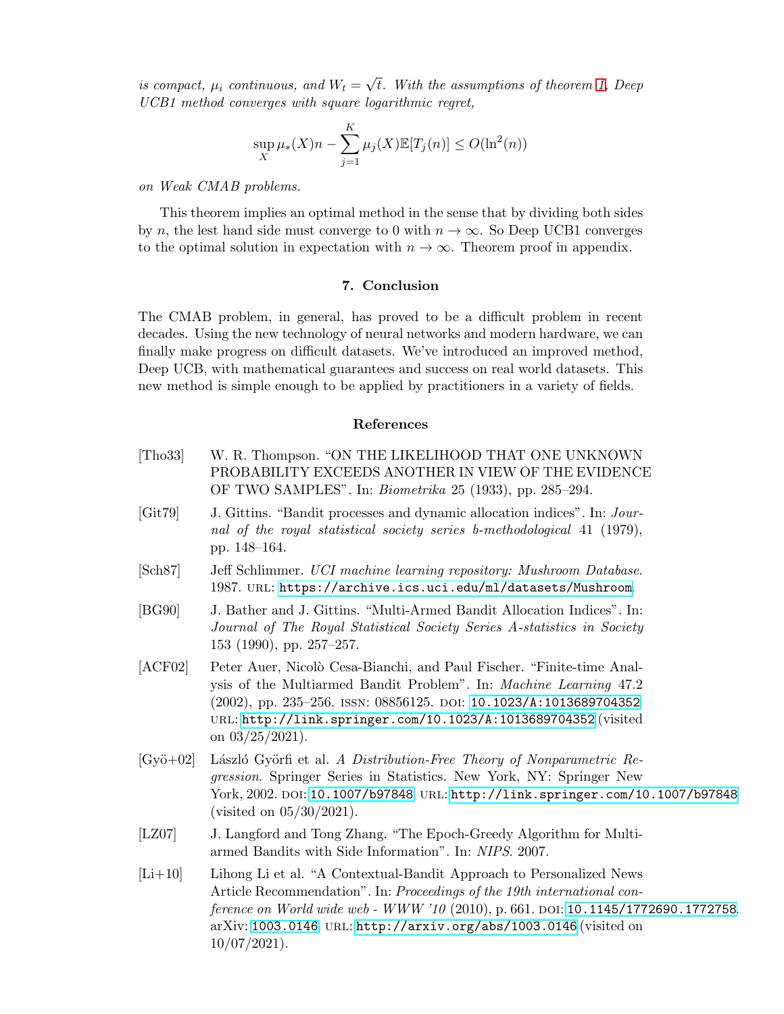*is compact,*  $\mu_i$  *continuous, and*  $W_t = \sqrt{t}$ *. With the assumptions of theorem [1,](#page-6-1) Deep UCB1 method converges with square logarithmic regret,*

$$
\sup_{X} \mu_{*}(X) n - \sum_{j=1}^{K} \mu_{j}(X) \mathbb{E}[T_{j}(n)] \le O(\ln^{2}(n))
$$

*on Weak CMAB problems.*

This theorem implies an optimal method in the sense that by dividing both sides by n, the lest hand side must converge to 0 with  $n \to \infty$ . So Deep UCB1 converges to the optimal solution in expectation with  $n \to \infty$ . Theorem proof in appendix.

# 7. Conclusion

The CMAB problem, in general, has proved to be a difficult problem in recent decades. Using the new technology of neural networks and modern hardware, we can finally make progress on difficult datasets. We've introduced an improved method, Deep UCB, with mathematical guarantees and success on real world datasets. This new method is simple enough to be applied by practitioners in a variety of fields.

# References

- <span id="page-7-3"></span>[Tho33] W. R. Thompson. "ON THE LIKELIHOOD THAT ONE UNKNOWN PROBABILITY EXCEEDS ANOTHER IN VIEW OF THE EVIDENCE OF TWO SAMPLES". In: *Biometrika* 25 (1933), pp. 285–294.
- <span id="page-7-0"></span>[Git79] J. Gittins. "Bandit processes and dynamic allocation indices". In: *Journal of the royal statistical society series b-methodological* 41 (1979), pp. 148–164.
- <span id="page-7-6"></span>[Sch87] Jeff Schlimmer. *UCI machine learning repository: Mushroom Database*. 1987. url: <https://archive.ics.uci.edu/ml/datasets/Mushroom>.
- <span id="page-7-1"></span>[BG90] J. Bather and J. Gittins. "Multi-Armed Bandit Allocation Indices". In: *Journal of The Royal Statistical Society Series A-statistics in Society* 153 (1990), pp. 257–257.
- <span id="page-7-5"></span>[ACF02] Peter Auer, Nicolò Cesa-Bianchi, and Paul Fischer. "Finite-time Analysis of the Multiarmed Bandit Problem". In: *Machine Learning* 47.2 (2002), pp. 235–256. ISSN: 08856125. DOI: [10.1023/A:1013689704352](https://doi.org/10.1023/A:1013689704352). url: <http://link.springer.com/10.1023/A:1013689704352> (visited on  $03/25/2021$ ).
- <span id="page-7-7"></span>[Gyö+02] László Györfi et al. *A Distribution-Free Theory of Nonparametric Regression*. Springer Series in Statistics. New York, NY: Springer New York, 2002. DOI: [10.1007/b97848](https://doi.org/10.1007/b97848). URL: <http://link.springer.com/10.1007/b97848> (visited on 05/30/2021).
- <span id="page-7-2"></span>[LZ07] J. Langford and Tong Zhang. "The Epoch-Greedy Algorithm for Multiarmed Bandits with Side Information". In: *NIPS*. 2007.
- <span id="page-7-4"></span>[Li+10] Lihong Li et al. "A Contextual-Bandit Approach to Personalized News Article Recommendation". In: *Proceedings of the 19th international conference on World wide web - WWW '10* (2010), p. 661. DOI: [10.1145/1772690.1772758](https://doi.org/10.1145/1772690.1772758). arXiv: [1003.0146](https://arxiv.org/abs/1003.0146). url: <http://arxiv.org/abs/1003.0146> (visited on 10/07/2021).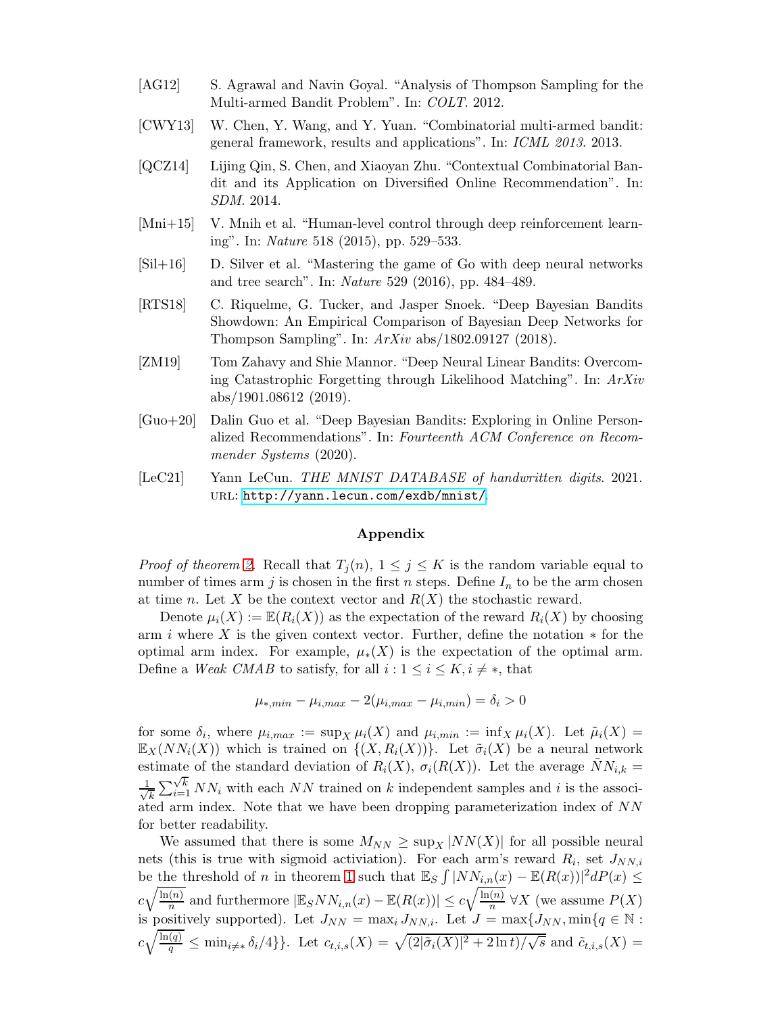- <span id="page-8-7"></span><span id="page-8-4"></span>[AG12] S. Agrawal and Navin Goyal. "Analysis of Thompson Sampling for the Multi-armed Bandit Problem". In: *COLT*. 2012.
- [CWY13] W. Chen, Y. Wang, and Y. Yuan. "Combinatorial multi-armed bandit: general framework, results and applications". In: *ICML 2013*. 2013.
- <span id="page-8-6"></span>[QCZ14] Lijing Qin, S. Chen, and Xiaoyan Zhu. "Contextual Combinatorial Bandit and its Application on Diversified Online Recommendation". In: *SDM*. 2014.
- <span id="page-8-1"></span>[Mni+15] V. Mnih et al. "Human-level control through deep reinforcement learning". In: *Nature* 518 (2015), pp. 529–533.
- <span id="page-8-2"></span>[Sil+16] D. Silver et al. "Mastering the game of Go with deep neural networks and tree search". In: *Nature* 529 (2016), pp. 484–489.
- <span id="page-8-0"></span>[RTS18] C. Riquelme, G. Tucker, and Jasper Snoek. "Deep Bayesian Bandits Showdown: An Empirical Comparison of Bayesian Deep Networks for Thompson Sampling". In: *ArXiv* abs/1802.09127 (2018).
- <span id="page-8-3"></span>[ZM19] Tom Zahavy and Shie Mannor. "Deep Neural Linear Bandits: Overcoming Catastrophic Forgetting through Likelihood Matching". In: *ArXiv* abs/1901.08612 (2019).
- <span id="page-8-5"></span>[Guo+20] Dalin Guo et al. "Deep Bayesian Bandits: Exploring in Online Personalized Recommendations". In: *Fourteenth ACM Conference on Recommender Systems* (2020).
- <span id="page-8-8"></span>[LeC21] Yann LeCun. *THE MNIST DATABASE of handwritten digits*. 2021. url: <http://yann.lecun.com/exdb/mnist/>.

### Appendix

*Proof of theorem [2.](#page-6-2)* Recall that  $T_j(n)$ ,  $1 \leq j \leq K$  is the random variable equal to number of times arm j is chosen in the first n steps. Define  $I_n$  to be the arm chosen at time n. Let X be the context vector and  $R(X)$  the stochastic reward.

Denote  $\mu_i(X) := \mathbb{E}(R_i(X))$  as the expectation of the reward  $R_i(X)$  by choosing arm i where X is the given context vector. Further, define the notation  $*$  for the optimal arm index. For example,  $\mu_*(X)$  is the expectation of the optimal arm. Define a *Weak CMAB* to satisfy, for all  $i: 1 \leq i \leq K, i \neq *$ , that

$$
\mu_{*,min} - \mu_{i,max} - 2(\mu_{i,max} - \mu_{i,min}) = \delta_i > 0
$$

for some  $\delta_i$ , where  $\mu_{i,max} := \sup_X \mu_i(X)$  and  $\mu_{i,min} := \inf_X \mu_i(X)$ . Let  $\tilde{\mu}_i(X) =$  $\mathbb{E}_X(NN_i(X))$  which is trained on  $\{(X, R_i(X))\}$ . Let  $\tilde{\sigma}_i(X)$  be a neural network estimate of the standard deviation of  $R_i(X)$ ,  $\sigma_i(R(X))$ . Let the average  $\tilde{N}N_{i,k} =$ √ 1  $\sum_{k}^{\sqrt{k}} \sum_{i=1}^{\sqrt{k}} NN_i$  with each NN trained on k independent samples and i is the associated arm index. Note that we have been dropping parameterization index of NN for better readability.

We assumed that there is some  $M_{NN} \geq \sup_X |NN(X)|$  for all possible neural nets (this is true with sigmoid activiation). For each arm's reward  $R_i$ , set  $J_{NN,i}$ be the threshold of n in theorem [1](#page-6-1) such that  $\mathbb{E}_S \int |NN_{i,n}(x) - \mathbb{E}(R(x))|^2 dP(x) \le$  $c\sqrt{\frac{\ln(n)}{n}}$  $\frac{\overline{(n)}}{n}$  and furthermore  $|\mathbb{E}_S NN_{i,n}(x) - \mathbb{E}(R(x))| \leq c\sqrt{\frac{\ln(n)}{n}}$  $\frac{N}{n}$   $\forall X$  (we assume  $P(X)$ is positively supported). Let  $J_{NN} = \max_i J_{NN,i}$ . Let  $J = \max\{J_{NN}, \min\{q \in \mathbb{N} :$  $c\sqrt{\frac{\ln(q)}{q}} \leq \min_{i \neq *} \delta_i/4$ . Let  $c_{t,i,s}(X) = \sqrt{(2|\tilde{\sigma}_i(X)|^2 + 2\ln t)/\sqrt{s}}$  and  $\tilde{c}_{t,i,s}(X) =$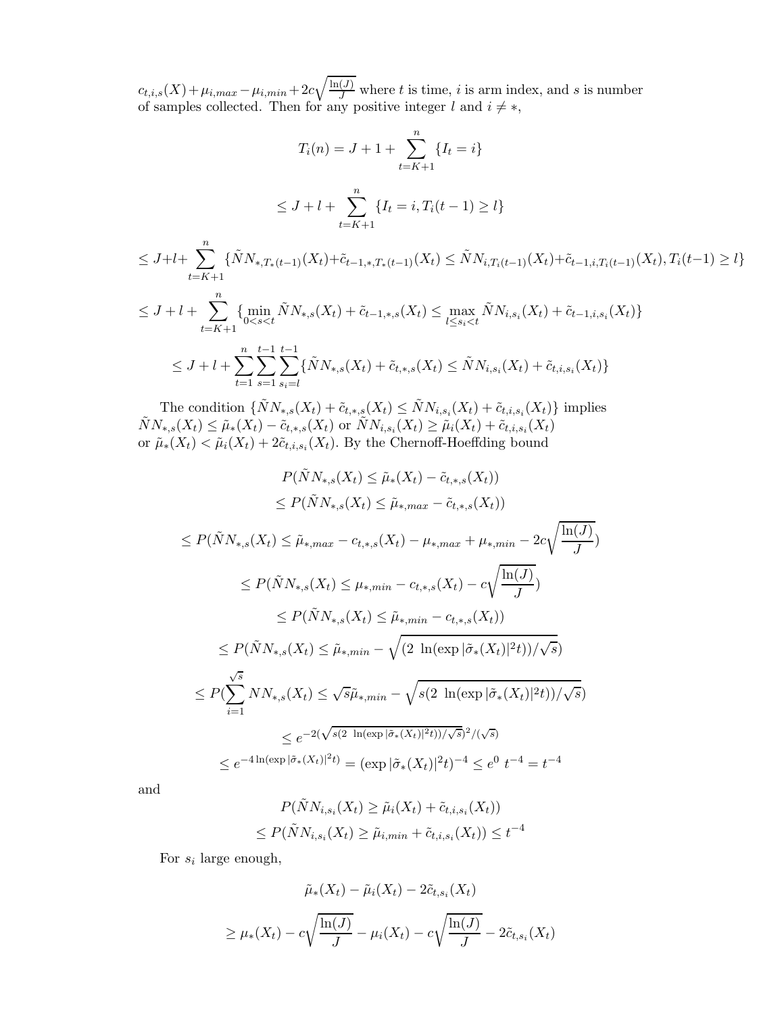$c_{t,i,s}(X) + \mu_{i,max} - \mu_{i,min} + 2c\sqrt{\frac{\ln(J)}{J}}$  where t is time, i is arm index, and s is number of samples collected. Then for any positive integer l and  $i \neq *,$ 

$$
T_i(n) = J + 1 + \sum_{t=K+1}^n \{I_t = i\}
$$
  
\n
$$
\leq J + l + \sum_{t=K+1}^n \{I_t = i, T_i(t-1) \geq l\}
$$
  
\n
$$
\leq J + l + \sum_{t=K+1}^n \{\tilde{N}N_{*,T_*(t-1)}(X_t) + \tilde{c}_{t-1,*,T_*(t-1)}(X_t) \leq \tilde{N}N_{i,T_i(t-1)}(X_t) + \tilde{c}_{t-1,i,T_i(t-1)}(X_t), T_i(t-1) \geq l\}
$$
  
\n
$$
\leq J + l + \sum_{t=K+1}^n \{\min_{0 < s < t} \tilde{N}N_{*,s}(X_t) + \tilde{c}_{t-1,*,s}(X_t) \leq \max_{l \leq s_i < t} \tilde{N}N_{i,s_i}(X_t) + \tilde{c}_{t-1,i,s_i}(X_t)\}
$$
  
\n
$$
\leq J + l + \sum_{t=K+1}^n \sum_{t=1}^{n} \sum_{t=1}^{t-1} \{\tilde{N}N_{*,s}(X_t) + \tilde{c}_{t,*,s}(X_t) \leq \tilde{N}N_{i,s_i}(X_t) + \tilde{c}_{t,i,s_i}(X_t)\}
$$

The condition  $\{\tilde{N}N_{*,s}(X_t) + \tilde{c}_{t,*,s}(X_t) \leq \tilde{N}N_{i,s_i}(X_t) + \tilde{c}_{t,i,s_i}(X_t)\}\$ implies  $\tilde{N}N_{*,s}(X_t) \leq \tilde{\mu}_{*}(X_t) - \tilde{c}_{t,*,s}(X_t) \text{ or } \tilde{N}N_{i,s_i}(X_t) \geq \tilde{\mu}_{i}(X_t) + \tilde{c}_{t,i,s_i}(X_t)$ or  $\tilde{\mu}_*(X_t) < \tilde{\mu}_i(X_t) + 2\tilde{c}_{t,i,s_i}(X_t)$ . By the Chernoff-Hoeffding bound

 $t=1$   $s=1$   $s_i=l$ 

$$
P(\tilde{N}N_{*,s}(X_t) \leq \tilde{\mu}_*(X_t) - \tilde{c}_{t,*,s}(X_t))
$$
  
\n
$$
\leq P(\tilde{N}N_{*,s}(X_t) \leq \tilde{\mu}_{*,max} - \tilde{c}_{t,*,s}(X_t))
$$
  
\n
$$
\leq P(\tilde{N}N_{*,s}(X_t) \leq \tilde{\mu}_{*,max} - c_{t,*,s}(X_t) - \mu_{*,max} + \mu_{*,min} - 2c\sqrt{\frac{\ln(J)}{J}})
$$
  
\n
$$
\leq P(\tilde{N}N_{*,s}(X_t) \leq \mu_{*,min} - c_{t,*,s}(X_t) - c\sqrt{\frac{\ln(J)}{J}})
$$
  
\n
$$
\leq P(\tilde{N}N_{*,s}(X_t) \leq \tilde{\mu}_{*,min} - c_{t,*,s}(X_t))
$$
  
\n
$$
\leq P(\tilde{N}N_{*,s}(X_t) \leq \tilde{\mu}_{*,min} - \sqrt{(2 \ln(\exp|\tilde{\sigma}_*(X_t)|^2 t))/\sqrt{s}})
$$
  
\n
$$
\leq P(\sum_{i=1}^{5} NN_{*,s}(X_t) \leq \sqrt{s}\tilde{\mu}_{*,min} - \sqrt{s(2 \ln(\exp|\tilde{\sigma}_*(X_t)|^2 t))/\sqrt{s}})
$$
  
\n
$$
\leq e^{-2(\sqrt{s(2 \ln(\exp|\tilde{\sigma}_*(X_t)|^2 t))/\sqrt{s}})^2/(\sqrt{s})}
$$
  
\n
$$
\leq e^{-4\ln(\exp|\tilde{\sigma}_*(X_t)|^2 t)} = (\exp|\tilde{\sigma}_*(X_t)|^2 t)^{-4} \leq e^{0 t^{-4} = t^{-4}
$$

and

$$
P(\tilde{N}N_{i,s_i}(X_t) \ge \tilde{\mu}_i(X_t) + \tilde{c}_{t,i,s_i}(X_t))
$$
  

$$
\le P(\tilde{N}N_{i,s_i}(X_t) \ge \tilde{\mu}_{i,min} + \tilde{c}_{t,i,s_i}(X_t)) \le t^{-4}
$$

For  $s_i$  large enough,

$$
\tilde{\mu}_*(X_t) - \tilde{\mu}_i(X_t) - 2\tilde{c}_{t,s_i}(X_t)
$$
\n
$$
\geq \mu_*(X_t) - c\sqrt{\frac{\ln(J)}{J}} - \mu_i(X_t) - c\sqrt{\frac{\ln(J)}{J}} - 2\tilde{c}_{t,s_i}(X_t)
$$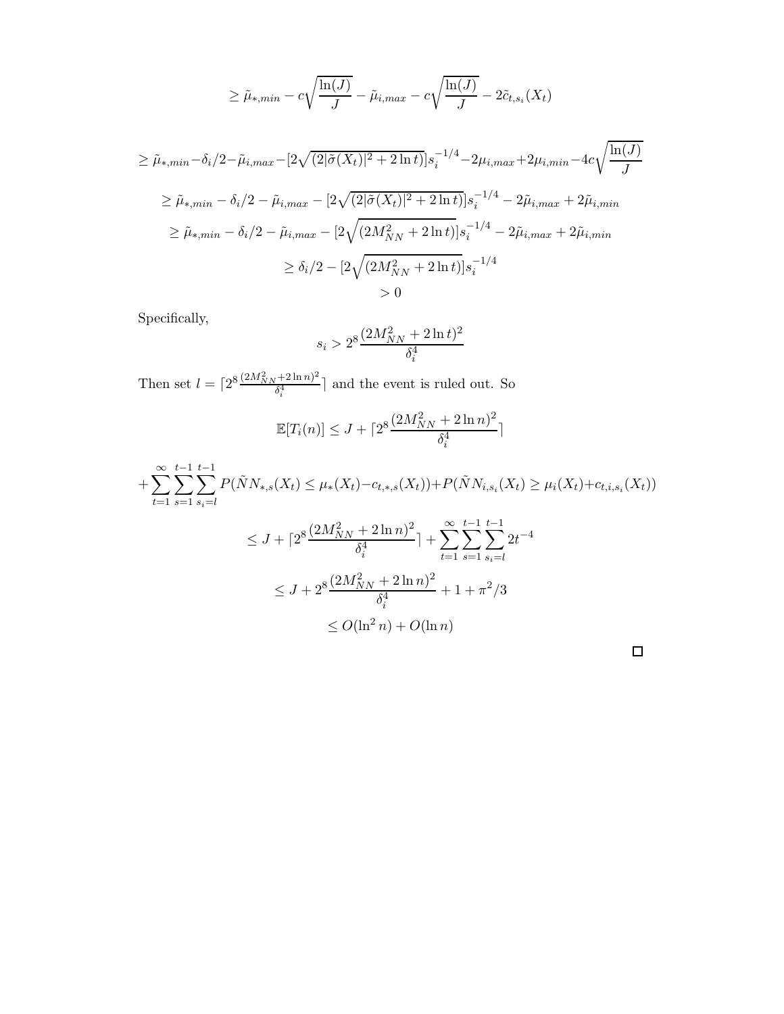$$
\geq \tilde{\mu}_{*,min} - c\sqrt{\frac{\ln(J)}{J}} - \tilde{\mu}_{i,max} - c\sqrt{\frac{\ln(J)}{J}} - 2\tilde{c}_{t,s_i}(X_t)
$$

$$
\geq \tilde{\mu}_{*,min} - \delta_i/2 - \tilde{\mu}_{i,max} - [2\sqrt{(2|\tilde{\sigma}(X_t)|^2 + 2\ln t)}]s_i^{-1/4} - 2\mu_{i,max} + 2\mu_{i,min} - 4c\sqrt{\frac{\ln(J)}{J}}
$$

$$
\geq \tilde{\mu}_{*,min} - \delta_i/2 - \tilde{\mu}_{i,max} - [2\sqrt{(2|\tilde{\sigma}(X_t)|^2 + 2\ln t)}]s_i^{-1/4} - 2\tilde{\mu}_{i,max} + 2\tilde{\mu}_{i,min}
$$
  

$$
\geq \tilde{\mu}_{*,min} - \delta_i/2 - \tilde{\mu}_{i,max} - [2\sqrt{(2M_{NN}^2 + 2\ln t)}]s_i^{-1/4} - 2\tilde{\mu}_{i,max} + 2\tilde{\mu}_{i,min}
$$
  

$$
\geq \delta_i/2 - [2\sqrt{(2M_{NN}^2 + 2\ln t)}]s_i^{-1/4}
$$
  

$$
> 0
$$

Specifically,

$$
s_i > 2^8 \frac{(2M_{NN}^2 + 2 \ln t)^2}{\delta_i^4}
$$

Then set  $l = \lceil 2^8 \frac{(2M_{NN}^2 + 2 \ln n)^2}{\delta_i^4} \rceil$  $\frac{\delta_1^{\{4\}}}{\delta_4^4}$  and the event is ruled out. So

$$
\mathbb{E}[T_i(n)] \le J + \lceil 2^8 \frac{(2M_{NN}^2 + 2 \ln n)^2}{\delta_i^4} \rceil
$$

$$
+\sum_{t=1}^{\infty}\sum_{s=1}^{t-1}\sum_{s_i=1}^{t-1}P(\tilde{N}N_{*,s}(X_t)\leq\mu_*(X_t)-c_{t,*,s}(X_t))+P(\tilde{N}N_{i,s_i}(X_t)\geq\mu_i(X_t)+c_{t,i,s_i}(X_t))
$$

$$
\leq J + \lceil 2^8 \frac{(2M_{NN}^2 + 2\ln n)^2}{\delta_i^4} \rceil + \sum_{t=1}^{\infty} \sum_{s=1}^{t-1} \sum_{s_i=l}^{t-1} 2t^{-4}
$$
  

$$
\leq J + 2^8 \frac{(2M_{NN}^2 + 2\ln n)^2}{\delta_i^4} + 1 + \pi^2/3
$$
  

$$
\leq O(\ln^2 n) + O(\ln n)
$$

 $\Box$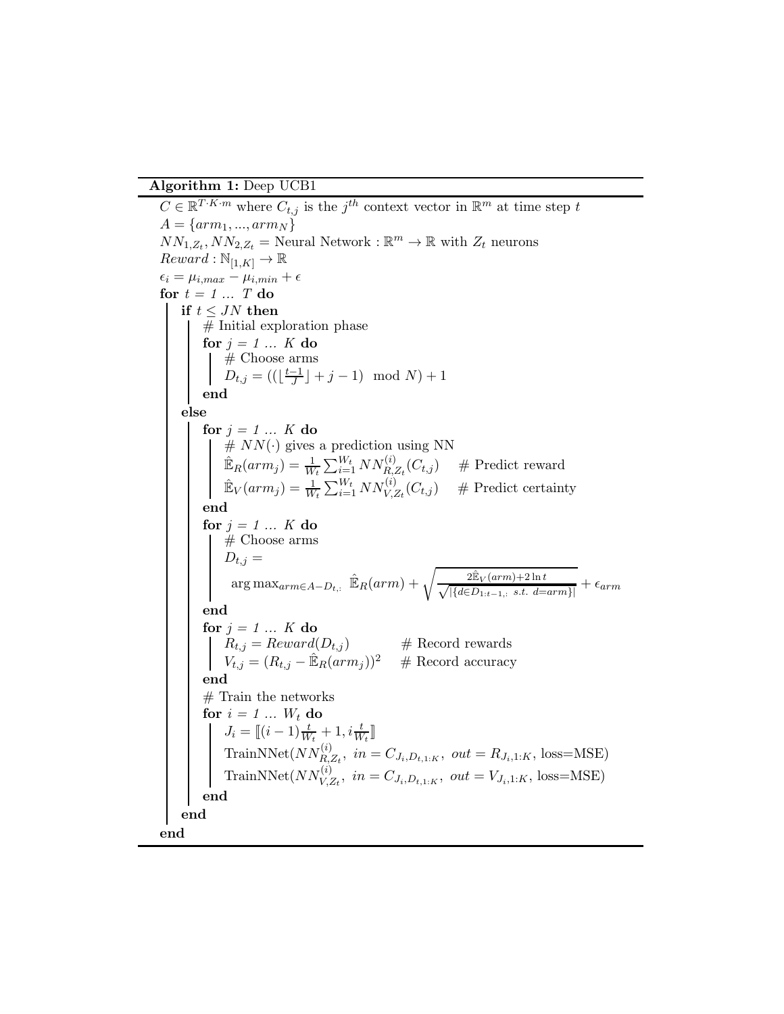Algorithm 1: Deep UCB1

<span id="page-11-0"></span> $C \in \mathbb{R}^{T \cdot K \cdot m}$  where  $C_{t,j}$  is the  $j^{th}$  context vector in  $\mathbb{R}^m$  at time step t  $A = \{arm_1, ..., arm_N\}$  $NN_{1,Z_t}, NN_{2,Z_t} =$  Neural Network :  $\mathbb{R}^m \to \mathbb{R}$  with  $Z_t$  neurons  $Reward : \mathbb{N}_{[1,K]} \to \mathbb{R}$  $\epsilon_i = \mu_{i,max} - \mu_{i,min} + \epsilon$ for  $t = 1 ... T$  do if  $t \leq JN$  then # Initial exploration phase for *j = 1 ... K* do # Choose arms  $D_{t,j} = ((\lfloor \frac{t-1}{J} \rfloor + j - 1) \mod N) + 1$ end else for  $j = 1 ... K$  do  $# NN(\cdot)$  gives a prediction using NN  $\mathbb{E}_R(arm_j) = \frac{1}{W_t} \sum_{i=1}^{W_t} NN_{R,Z_t}^{(i)}(C_{t,j})$  # Predict reward  $\mathbb{E}_V(arm_j) = \frac{1}{W_t} \sum_{i=1}^{W_t} NN_{V,Z_t}^{(i)}(C_{t,j})$  # Predict certainty end for *j = 1 ... K* do # Choose arms  $D_{t,j} =$  $\arg \max_{arm \in A-D_{t,:}} \hat{\mathbb{E}}_R(arm) + \sqrt{\frac{2\hat{\mathbb{E}}_V(arm) + 2\ln t}{\sqrt{|\{d \in D_{1:t-1,:} \text{ s.t. } d = arm\}|}}} + \epsilon_{arm}$ end for  $j = 1 ... K$  do  $R_{t,j} = Reward(D_{t,j})$  # Record rewards  $V_{t,j} = (R_{t,j} - \hat{\mathbb{E}}_R(arm_j))^2$  # Record accuracy end # Train the networks for  $i = 1 ... W_t$  do  $J_i = \llbracket (i-1) \frac{t}{W_t} + 1, i \frac{t}{W_t} \rrbracket$ TrainNNet $(NN_{R,Z_t}^{(i)},$   $in = C_{J_i,D_{t,1:K}},$   $out = R_{J_i,1:K},$  loss=MSE) TrainNNet $(NN_{V,Z_t}^{(i)},\ in=C_{J_i,D_{t,1:K}},\ out=V_{J_i,1:K},\ loss=\text{MSE})$ end end end